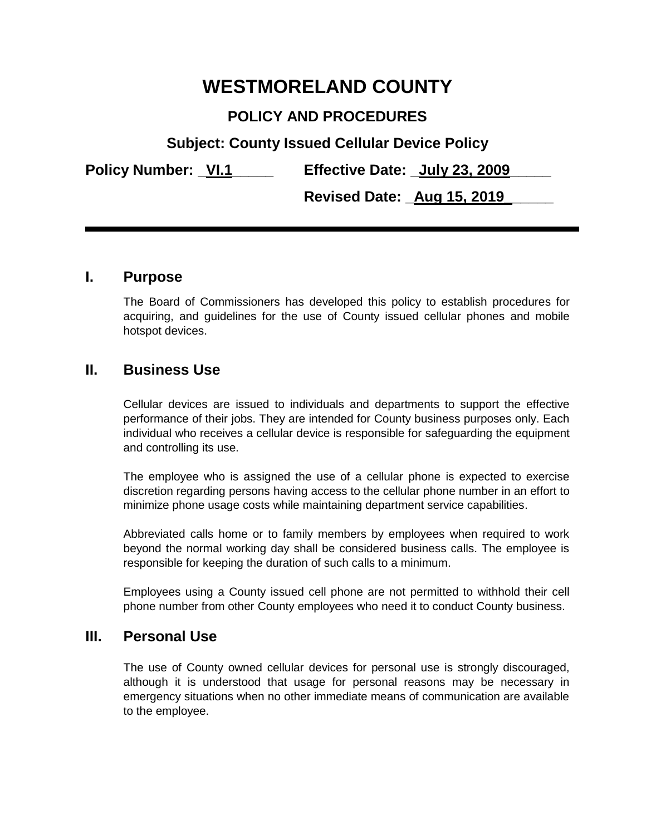# **WESTMORELAND COUNTY**

# **POLICY AND PROCEDURES**

**Subject: County Issued Cellular Device Policy**

**Policy Number: \_VI.1\_\_\_\_\_ Effective Date: \_July 23, 2009\_\_\_\_\_**

**Revised Date: \_Aug 15, 2019\_\_\_\_\_\_** 

#### **I. Purpose**

The Board of Commissioners has developed this policy to establish procedures for acquiring, and guidelines for the use of County issued cellular phones and mobile hotspot devices.

## **II. Business Use**

Cellular devices are issued to individuals and departments to support the effective performance of their jobs. They are intended for County business purposes only. Each individual who receives a cellular device is responsible for safeguarding the equipment and controlling its use.

The employee who is assigned the use of a cellular phone is expected to exercise discretion regarding persons having access to the cellular phone number in an effort to minimize phone usage costs while maintaining department service capabilities.

Abbreviated calls home or to family members by employees when required to work beyond the normal working day shall be considered business calls. The employee is responsible for keeping the duration of such calls to a minimum.

Employees using a County issued cell phone are not permitted to withhold their cell phone number from other County employees who need it to conduct County business.

#### **III. Personal Use**

The use of County owned cellular devices for personal use is strongly discouraged, although it is understood that usage for personal reasons may be necessary in emergency situations when no other immediate means of communication are available to the employee.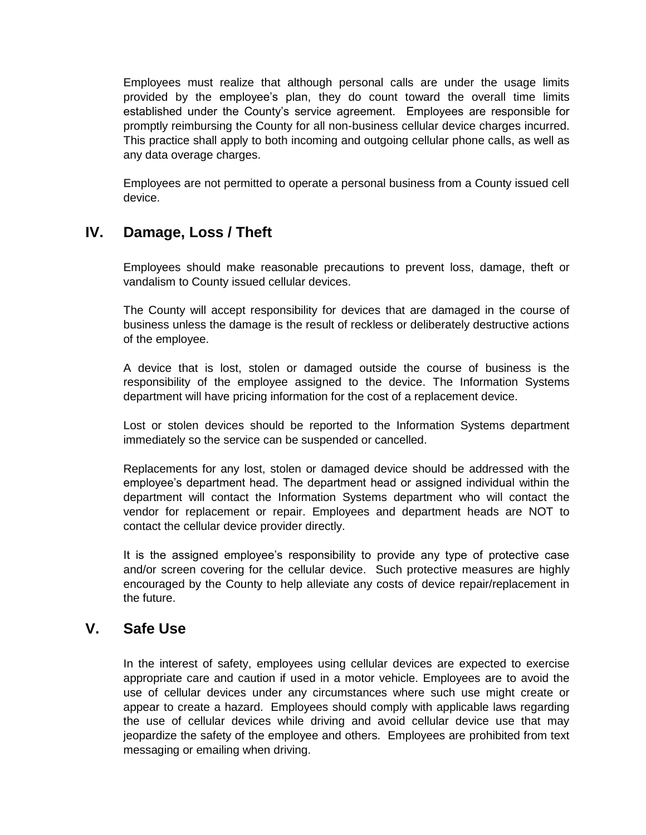Employees must realize that although personal calls are under the usage limits provided by the employee's plan, they do count toward the overall time limits established under the County's service agreement. Employees are responsible for promptly reimbursing the County for all non-business cellular device charges incurred. This practice shall apply to both incoming and outgoing cellular phone calls, as well as any data overage charges.

Employees are not permitted to operate a personal business from a County issued cell device.

## **IV. Damage, Loss / Theft**

Employees should make reasonable precautions to prevent loss, damage, theft or vandalism to County issued cellular devices.

The County will accept responsibility for devices that are damaged in the course of business unless the damage is the result of reckless or deliberately destructive actions of the employee.

A device that is lost, stolen or damaged outside the course of business is the responsibility of the employee assigned to the device. The Information Systems department will have pricing information for the cost of a replacement device.

Lost or stolen devices should be reported to the Information Systems department immediately so the service can be suspended or cancelled.

Replacements for any lost, stolen or damaged device should be addressed with the employee's department head. The department head or assigned individual within the department will contact the Information Systems department who will contact the vendor for replacement or repair. Employees and department heads are NOT to contact the cellular device provider directly.

It is the assigned employee's responsibility to provide any type of protective case and/or screen covering for the cellular device. Such protective measures are highly encouraged by the County to help alleviate any costs of device repair/replacement in the future.

#### **V. Safe Use**

In the interest of safety, employees using cellular devices are expected to exercise appropriate care and caution if used in a motor vehicle. Employees are to avoid the use of cellular devices under any circumstances where such use might create or appear to create a hazard. Employees should comply with applicable laws regarding the use of cellular devices while driving and avoid cellular device use that may jeopardize the safety of the employee and others. Employees are prohibited from text messaging or emailing when driving.